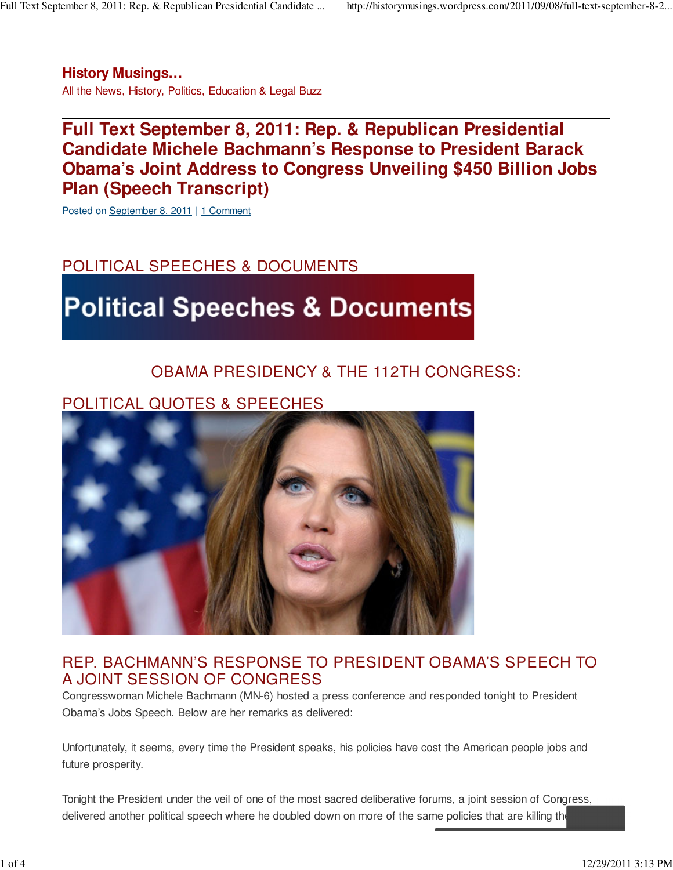**History Musings…**

All the News, History, Politics, Education & Legal Buzz

# **Full Text September 8, 2011: Rep. & Republican Presidential Candidate Michele Bachmann's Response to President Barack Obama's Joint Address to Congress Unveiling \$450 Billion Jobs Plan (Speech Transcript)**

Posted on September 8, 2011 | 1 Comment

# POLITICAL SPEECHES & DOCUMENTS

# **Political Speeches & Documents**

### OBAMA PRESIDENCY & THE 112TH CONGRESS:

## POLITICAL QUOTES & SPEECHES



#### REP. BACHMANN'S RESPONSE TO PRESIDENT OBAMA'S SPEECH TO A JOINT SESSION OF CONGRESS

Congresswoman Michele Bachmann (MN-6) hosted a press conference and responded tonight to President Obama's Jobs Speech. Below are her remarks as delivered:

Unfortunately, it seems, every time the President speaks, his policies have cost the American people jobs and future prosperity.

Tonight the President under the veil of one of the most sacred deliberative forums, a joint session of Congress, delivered another political speech where he doubled down on more of the same policies that are killing the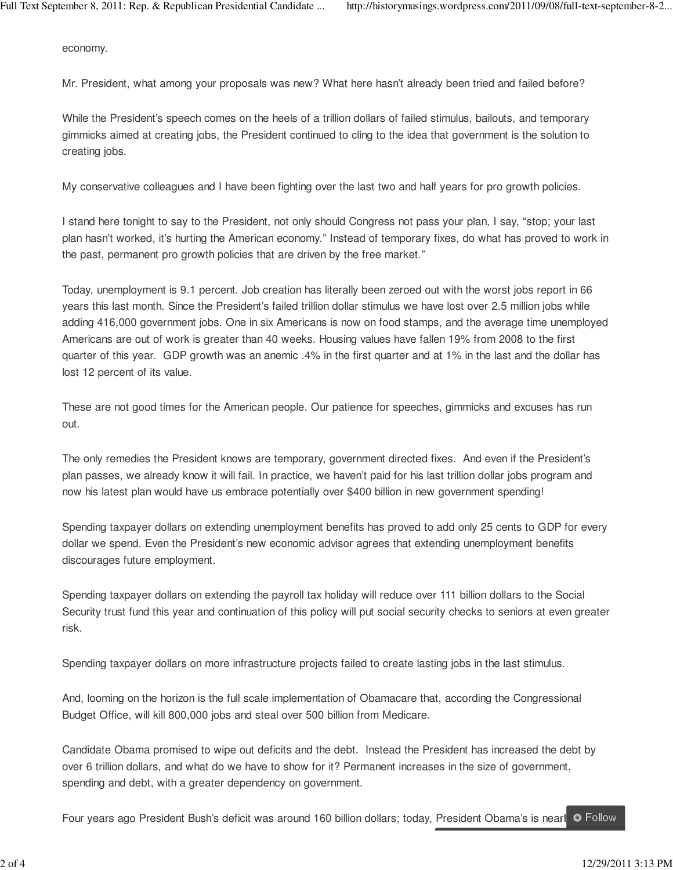economy.

Mr. President, what among your proposals was new? What here hasn't already been tried and failed before?

While the President's speech comes on the heels of a trillion dollars of failed stimulus, bailouts, and temporary gimmicks aimed at creating jobs, the President continued to cling to the idea that government is the solution to creating jobs.

My conservative colleagues and I have been fighting over the last two and half years for pro growth policies.

I stand here tonight to say to the President, not only should Congress not pass your plan, I say, "stop; your last plan hasn't worked, it's hurting the American economy." Instead of temporary fixes, do what has proved to work in the past, permanent pro growth policies that are driven by the free market."

Today, unemployment is 9.1 percent. Job creation has literally been zeroed out with the worst jobs report in 66 years this last month. Since the President's failed trillion dollar stimulus we have lost over 2.5 million jobs while adding 416,000 government jobs. One in six Americans is now on food stamps, and the average time unemployed Americans are out of work is greater than 40 weeks. Housing values have fallen 19% from 2008 to the first quarter of this year. GDP growth was an anemic .4% in the first quarter and at 1% in the last and the dollar has lost 12 percent of its value.

These are not good times for the American people. Our patience for speeches, gimmicks and excuses has run out.

The only remedies the President knows are temporary, government directed fixes. And even if the President's plan passes, we already know it will fail. In practice, we haven't paid for his last trillion dollar jobs program and now his latest plan would have us embrace potentially over \$400 billion in new government spending!

Spending taxpayer dollars on extending unemployment benefits has proved to add only 25 cents to GDP for every dollar we spend. Even the President's new economic advisor agrees that extending unemployment benefits discourages future employment.

Spending taxpayer dollars on extending the payroll tax holiday will reduce over 111 billion dollars to the Social Security trust fund this year and continuation of this policy will put social security checks to seniors at even greater risk.

Spending taxpayer dollars on more infrastructure projects failed to create lasting jobs in the last stimulus.

And, looming on the horizon is the full scale implementation of Obamacare that, according the Congressional Budget Office, will kill 800,000 jobs and steal over 500 billion from Medicare.

Candidate Obama promised to wipe out deficits and the debt. Instead the President has increased the debt by over 6 trillion dollars, and what do we have to show for it? Permanent increases in the size of government, spending and debt, with a greater dependency on government.

Four years ago President Bush's deficit was around 160 billion dollars; today, President Obama's is nearle G Follow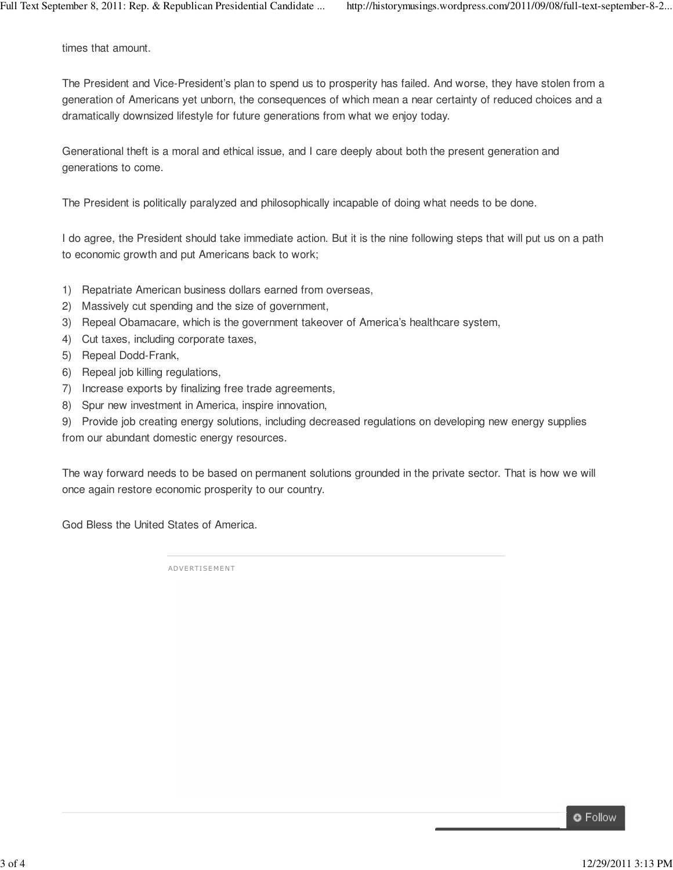times that amount.

The President and Vice-President's plan to spend us to prosperity has failed. And worse, they have stolen from a generation of Americans yet unborn, the consequences of which mean a near certainty of reduced choices and a dramatically downsized lifestyle for future generations from what we enjoy today.

Generational theft is a moral and ethical issue, and I care deeply about both the present generation and generations to come.

The President is politically paralyzed and philosophically incapable of doing what needs to be done.

I do agree, the President should take immediate action. But it is the nine following steps that will put us on a path to economic growth and put Americans back to work;

- 1) Repatriate American business dollars earned from overseas,
- 2) Massively cut spending and the size of government,
- 3) Repeal Obamacare, which is the government takeover of America's healthcare system,
- 4) Cut taxes, including corporate taxes,
- 5) Repeal Dodd-Frank,
- 6) Repeal job killing regulations,
- 7) Increase exports by finalizing free trade agreements,
- 8) Spur new investment in America, inspire innovation,

9) Provide job creating energy solutions, including decreased regulations on developing new energy supplies from our abundant domestic energy resources.

The way forward needs to be based on permanent solutions grounded in the private sector. That is how we will once again restore economic prosperity to our country.

God Bless the United States of America.

**ADVERTISEMENT** 

**O** Follow